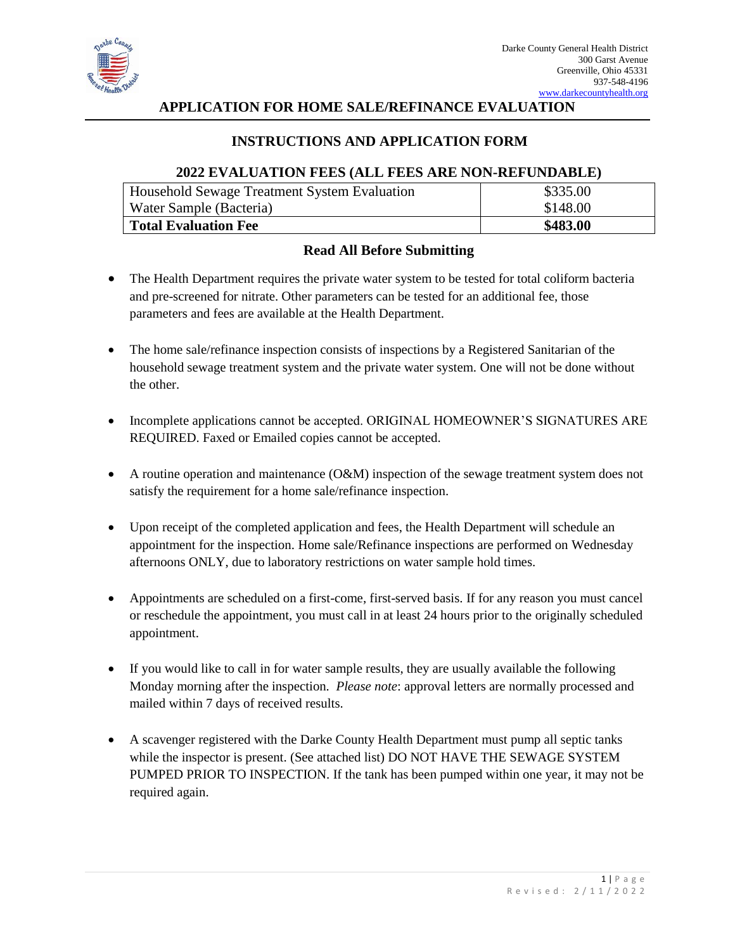

## **APPLICATION FOR HOME SALE/REFINANCE EVALUATION**

# **INSTRUCTIONS AND APPLICATION FORM**

#### **2022 EVALUATION FEES (ALL FEES ARE NON-REFUNDABLE)**

| Household Sewage Treatment System Evaluation | \$335.00 |
|----------------------------------------------|----------|
| Water Sample (Bacteria)                      | \$148.00 |
| <b>Total Evaluation Fee</b>                  | \$483.00 |

## **Read All Before Submitting**

- The Health Department requires the private water system to be tested for total coliform bacteria and pre-screened for nitrate. Other parameters can be tested for an additional fee, those parameters and fees are available at the Health Department.
- The home sale/refinance inspection consists of inspections by a Registered Sanitarian of the household sewage treatment system and the private water system. One will not be done without the other.
- Incomplete applications cannot be accepted. ORIGINAL HOMEOWNER'S SIGNATURES ARE REQUIRED. Faxed or Emailed copies cannot be accepted.
- A routine operation and maintenance (O&M) inspection of the sewage treatment system does not satisfy the requirement for a home sale/refinance inspection.
- Upon receipt of the completed application and fees, the Health Department will schedule an appointment for the inspection. Home sale/Refinance inspections are performed on Wednesday afternoons ONLY, due to laboratory restrictions on water sample hold times.
- Appointments are scheduled on a first-come, first-served basis. If for any reason you must cancel or reschedule the appointment, you must call in at least 24 hours prior to the originally scheduled appointment.
- If you would like to call in for water sample results, they are usually available the following Monday morning after the inspection. *Please note*: approval letters are normally processed and mailed within 7 days of received results.
- A scavenger registered with the Darke County Health Department must pump all septic tanks while the inspector is present. (See attached list) DO NOT HAVE THE SEWAGE SYSTEM PUMPED PRIOR TO INSPECTION. If the tank has been pumped within one year, it may not be required again.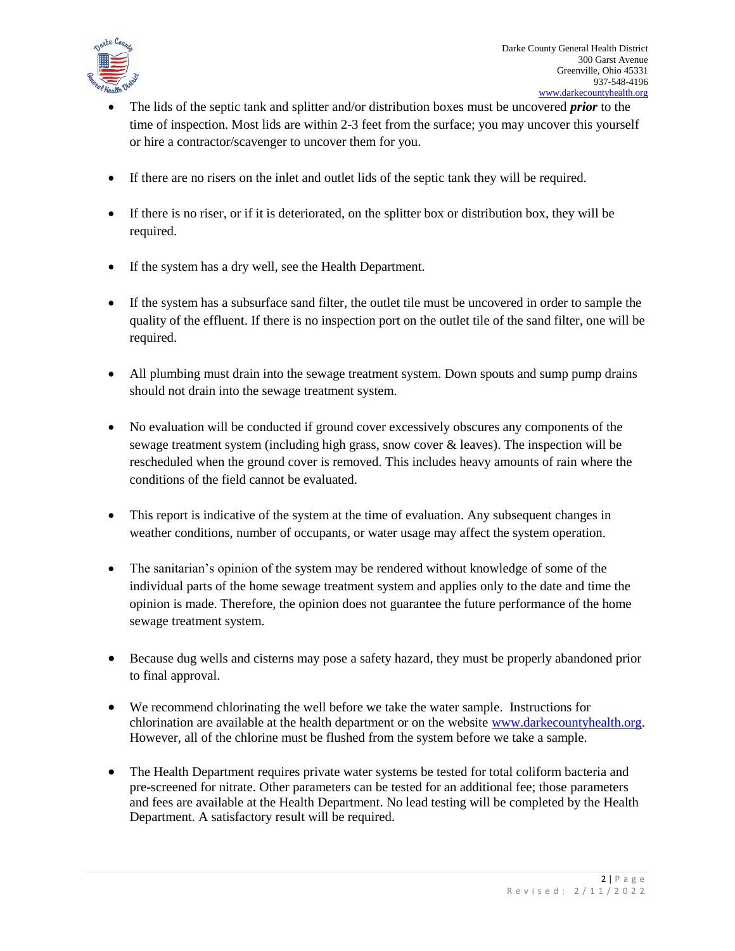

- The lids of the septic tank and splitter and/or distribution boxes must be uncovered *prior* to the time of inspection. Most lids are within 2-3 feet from the surface; you may uncover this yourself or hire a contractor/scavenger to uncover them for you.
- If there are no risers on the inlet and outlet lids of the septic tank they will be required.
- If there is no riser, or if it is deteriorated, on the splitter box or distribution box, they will be required.
- If the system has a dry well, see the Health Department.
- If the system has a subsurface sand filter, the outlet tile must be uncovered in order to sample the quality of the effluent. If there is no inspection port on the outlet tile of the sand filter, one will be required.
- All plumbing must drain into the sewage treatment system. Down spouts and sump pump drains should not drain into the sewage treatment system.
- No evaluation will be conducted if ground cover excessively obscures any components of the sewage treatment system (including high grass, snow cover & leaves). The inspection will be rescheduled when the ground cover is removed. This includes heavy amounts of rain where the conditions of the field cannot be evaluated.
- This report is indicative of the system at the time of evaluation. Any subsequent changes in weather conditions, number of occupants, or water usage may affect the system operation.
- The sanitarian's opinion of the system may be rendered without knowledge of some of the individual parts of the home sewage treatment system and applies only to the date and time the opinion is made. Therefore, the opinion does not guarantee the future performance of the home sewage treatment system.
- Because dug wells and cisterns may pose a safety hazard, they must be properly abandoned prior to final approval.
- We recommend chlorinating the well before we take the water sample. Instructions for chlorination are available at the health department or on the website [www.darkecountyhealth.org.](http://www.darkecountyhealth.org/) However, all of the chlorine must be flushed from the system before we take a sample.
- The Health Department requires private water systems be tested for total coliform bacteria and pre-screened for nitrate. Other parameters can be tested for an additional fee; those parameters and fees are available at the Health Department. No lead testing will be completed by the Health Department. A satisfactory result will be required.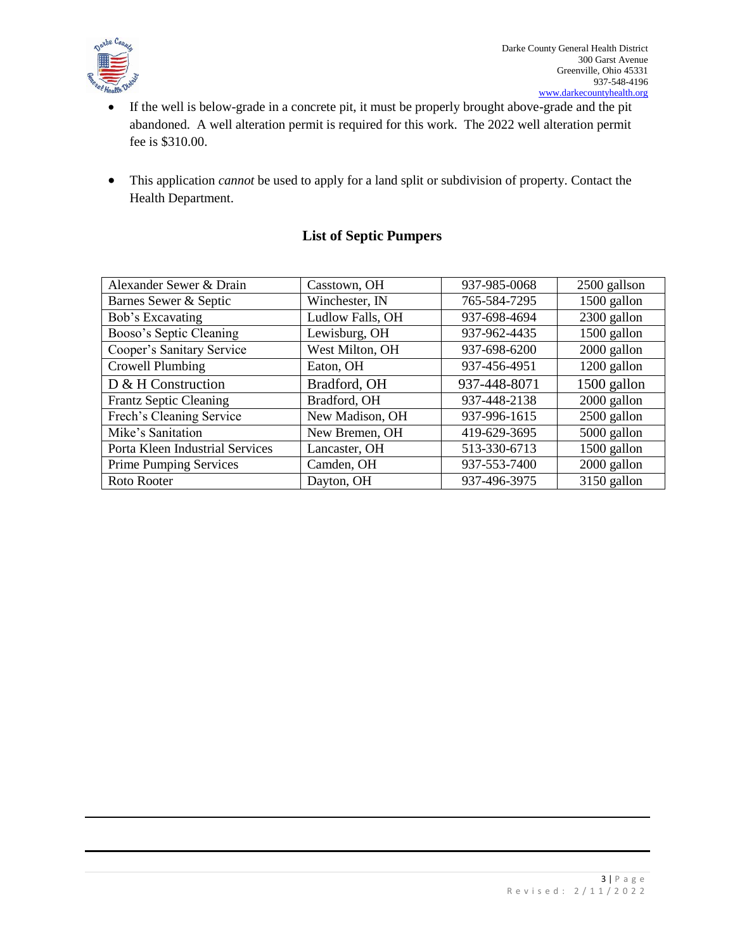

- If the well is below-grade in a concrete pit, it must be properly brought above-grade and the pit abandoned. A well alteration permit is required for this work. The 2022 well alteration permit fee is \$310.00.
- This application *cannot* be used to apply for a land split or subdivision of property. Contact the Health Department.

# **List of Septic Pumpers**

| Alexander Sewer & Drain         | Casstown, OH     | 937-985-0068 | 2500 gallson |  |
|---------------------------------|------------------|--------------|--------------|--|
| Barnes Sewer & Septic           | Winchester, IN   | 765-584-7295 | 1500 gallon  |  |
| Bob's Excavating                | Ludlow Falls, OH | 937-698-4694 | 2300 gallon  |  |
| Booso's Septic Cleaning         | Lewisburg, OH    | 937-962-4435 | 1500 gallon  |  |
| Cooper's Sanitary Service       | West Milton, OH  | 937-698-6200 | 2000 gallon  |  |
| Crowell Plumbing                | Eaton, OH        | 937-456-4951 | 1200 gallon  |  |
| D & H Construction              | Bradford, OH     | 937-448-8071 | 1500 gallon  |  |
| <b>Frantz Septic Cleaning</b>   | Bradford, OH     | 937-448-2138 | 2000 gallon  |  |
| Frech's Cleaning Service        | New Madison, OH  | 937-996-1615 | 2500 gallon  |  |
| Mike's Sanitation               | New Bremen, OH   | 419-629-3695 | 5000 gallon  |  |
| Porta Kleen Industrial Services | Lancaster, OH    | 513-330-6713 | 1500 gallon  |  |
| <b>Prime Pumping Services</b>   | Camden, OH       | 937-553-7400 | 2000 gallon  |  |
| Roto Rooter                     | Dayton, OH       | 937-496-3975 | 3150 gallon  |  |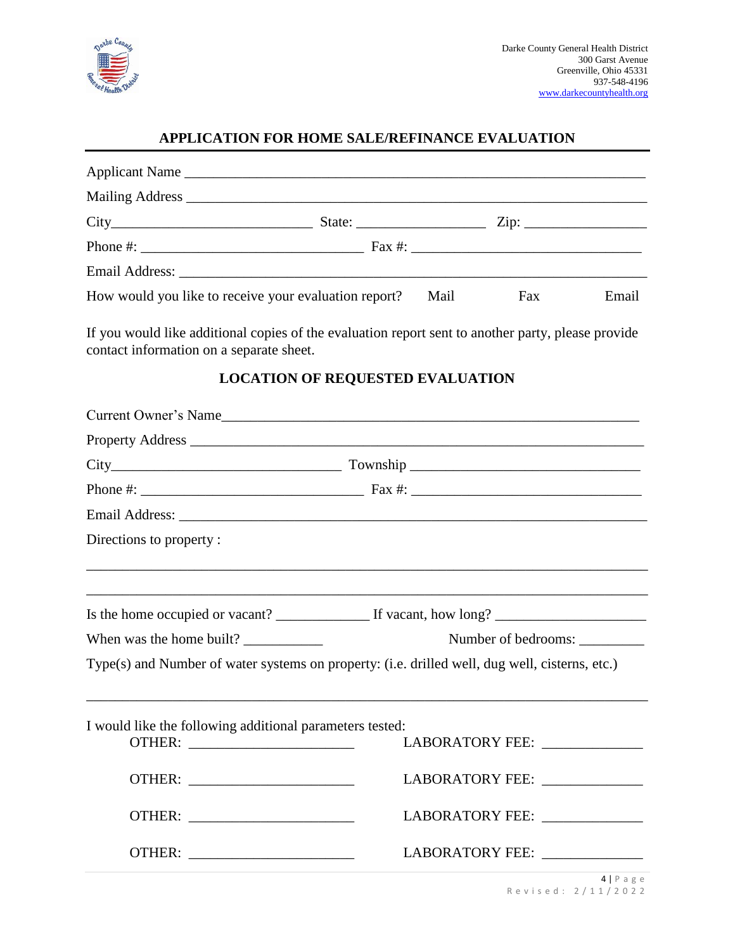

# **APPLICATION FOR HOME SALE/REFINANCE EVALUATION**

| How would you like to receive your evaluation report?                                                                                          |                                                 | Mail | Fax                            | Email |  |  |  |
|------------------------------------------------------------------------------------------------------------------------------------------------|-------------------------------------------------|------|--------------------------------|-------|--|--|--|
| If you would like additional copies of the evaluation report sent to another party, please provide<br>contact information on a separate sheet. |                                                 |      |                                |       |  |  |  |
|                                                                                                                                                | <b>LOCATION OF REQUESTED EVALUATION</b>         |      |                                |       |  |  |  |
| Current Owner's Name                                                                                                                           |                                                 |      |                                |       |  |  |  |
|                                                                                                                                                |                                                 |      |                                |       |  |  |  |
|                                                                                                                                                |                                                 |      |                                |       |  |  |  |
|                                                                                                                                                |                                                 |      |                                |       |  |  |  |
|                                                                                                                                                |                                                 |      |                                |       |  |  |  |
| Directions to property:                                                                                                                        |                                                 |      |                                |       |  |  |  |
|                                                                                                                                                |                                                 |      |                                |       |  |  |  |
|                                                                                                                                                |                                                 |      |                                |       |  |  |  |
|                                                                                                                                                | When was the home built?<br>Number of bedrooms: |      |                                |       |  |  |  |
| Type(s) and Number of water systems on property: (i.e. drilled well, dug well, cisterns, etc.)                                                 |                                                 |      |                                |       |  |  |  |
| I would like the following additional parameters tested:                                                                                       |                                                 |      |                                |       |  |  |  |
|                                                                                                                                                |                                                 |      | LABORATORY FEE: ______________ |       |  |  |  |
|                                                                                                                                                |                                                 |      | LABORATORY FEE: ______________ |       |  |  |  |
|                                                                                                                                                |                                                 |      | LABORATORY FEE: ______________ |       |  |  |  |
|                                                                                                                                                |                                                 |      | LABORATORY FEE: ______________ |       |  |  |  |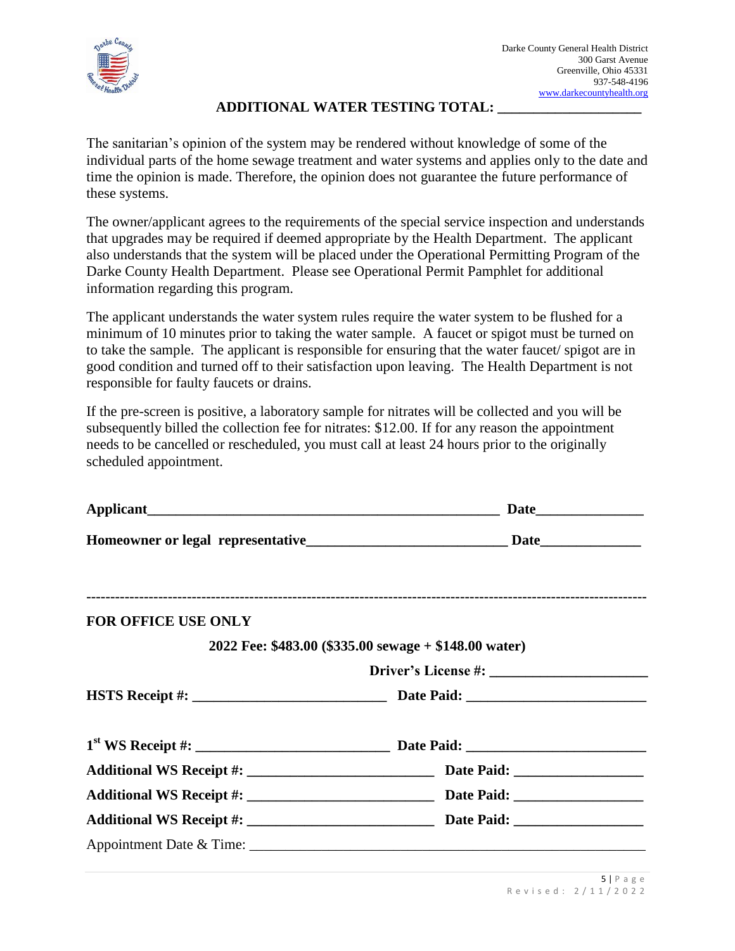

#### **ADDITIONAL WATER TESTING TOTAL: \_\_\_\_\_\_\_\_\_\_\_\_\_\_\_\_\_\_\_\_**

The sanitarian's opinion of the system may be rendered without knowledge of some of the individual parts of the home sewage treatment and water systems and applies only to the date and time the opinion is made. Therefore, the opinion does not guarantee the future performance of these systems.

The owner/applicant agrees to the requirements of the special service inspection and understands that upgrades may be required if deemed appropriate by the Health Department. The applicant also understands that the system will be placed under the Operational Permitting Program of the Darke County Health Department. Please see Operational Permit Pamphlet for additional information regarding this program.

The applicant understands the water system rules require the water system to be flushed for a minimum of 10 minutes prior to taking the water sample. A faucet or spigot must be turned on to take the sample. The applicant is responsible for ensuring that the water faucet/ spigot are in good condition and turned off to their satisfaction upon leaving. The Health Department is not responsible for faulty faucets or drains.

If the pre-screen is positive, a laboratory sample for nitrates will be collected and you will be subsequently billed the collection fee for nitrates: \$12.00. If for any reason the appointment needs to be cancelled or rescheduled, you must call at least 24 hours prior to the originally scheduled appointment.

| <b>FOR OFFICE USE ONLY</b> |                                                       |  |  |  |  |
|----------------------------|-------------------------------------------------------|--|--|--|--|
|                            | 2022 Fee: \$483.00 (\$335.00 sewage + \$148.00 water) |  |  |  |  |
|                            |                                                       |  |  |  |  |
|                            |                                                       |  |  |  |  |
|                            |                                                       |  |  |  |  |
|                            |                                                       |  |  |  |  |
|                            |                                                       |  |  |  |  |
|                            |                                                       |  |  |  |  |
|                            |                                                       |  |  |  |  |